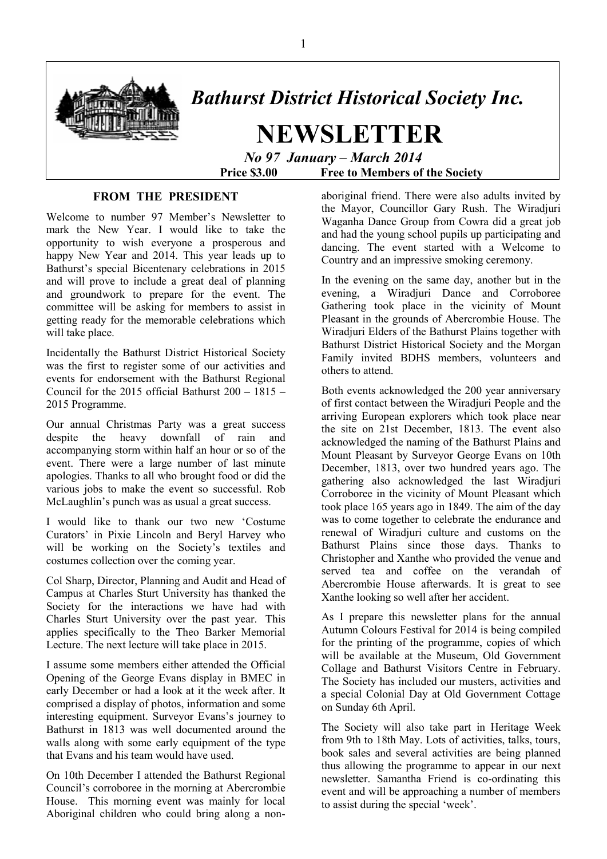

# *Bathurst District Historical Society Inc.*

 **NEWSLETTER**   *No 97 January – March 2014* 

 **Price \$3.00 Free to Members of the Society** 

### **FROM THE PRESIDENT**

Welcome to number 97 Member's Newsletter to mark the New Year. I would like to take the opportunity to wish everyone a prosperous and happy New Year and 2014. This year leads up to Bathurst's special Bicentenary celebrations in 2015 and will prove to include a great deal of planning and groundwork to prepare for the event. The committee will be asking for members to assist in getting ready for the memorable celebrations which will take place.

Incidentally the Bathurst District Historical Society was the first to register some of our activities and events for endorsement with the Bathurst Regional Council for the 2015 official Bathurst 200 – 1815 – 2015 Programme.

Our annual Christmas Party was a great success despite the heavy downfall of rain and accompanying storm within half an hour or so of the event. There were a large number of last minute apologies. Thanks to all who brought food or did the various jobs to make the event so successful. Rob McLaughlin's punch was as usual a great success.

I would like to thank our two new 'Costume Curators' in Pixie Lincoln and Beryl Harvey who will be working on the Society's textiles and costumes collection over the coming year.

Col Sharp, Director, Planning and Audit and Head of Campus at Charles Sturt University has thanked the Society for the interactions we have had with Charles Sturt University over the past year. This applies specifically to the Theo Barker Memorial Lecture. The next lecture will take place in 2015.

I assume some members either attended the Official Opening of the George Evans display in BMEC in early December or had a look at it the week after. It comprised a display of photos, information and some interesting equipment. Surveyor Evans's journey to Bathurst in 1813 was well documented around the walls along with some early equipment of the type that Evans and his team would have used.

On 10th December I attended the Bathurst Regional Council's corroboree in the morning at Abercrombie House. This morning event was mainly for local Aboriginal children who could bring along a nonaboriginal friend. There were also adults invited by the Mayor, Councillor Gary Rush. The Wiradjuri Waganha Dance Group from Cowra did a great job and had the young school pupils up participating and dancing. The event started with a Welcome to Country and an impressive smoking ceremony.

In the evening on the same day, another but in the evening, a Wiradjuri Dance and Corroboree Gathering took place in the vicinity of Mount Pleasant in the grounds of Abercrombie House. The Wiradjuri Elders of the Bathurst Plains together with Bathurst District Historical Society and the Morgan Family invited BDHS members, volunteers and others to attend.

Both events acknowledged the 200 year anniversary of first contact between the Wiradjuri People and the arriving European explorers which took place near the site on 21st December, 1813. The event also acknowledged the naming of the Bathurst Plains and Mount Pleasant by Surveyor George Evans on 10th December, 1813, over two hundred years ago. The gathering also acknowledged the last Wiradjuri Corroboree in the vicinity of Mount Pleasant which took place 165 years ago in 1849. The aim of the day was to come together to celebrate the endurance and renewal of Wiradjuri culture and customs on the Bathurst Plains since those days. Thanks to Christopher and Xanthe who provided the venue and served tea and coffee on the verandah of Abercrombie House afterwards. It is great to see Xanthe looking so well after her accident.

As I prepare this newsletter plans for the annual Autumn Colours Festival for 2014 is being compiled for the printing of the programme, copies of which will be available at the Museum, Old Government Collage and Bathurst Visitors Centre in February. The Society has included our musters, activities and a special Colonial Day at Old Government Cottage on Sunday 6th April.

The Society will also take part in Heritage Week from 9th to 18th May. Lots of activities, talks, tours, book sales and several activities are being planned thus allowing the programme to appear in our next newsletter. Samantha Friend is co-ordinating this event and will be approaching a number of members to assist during the special 'week'.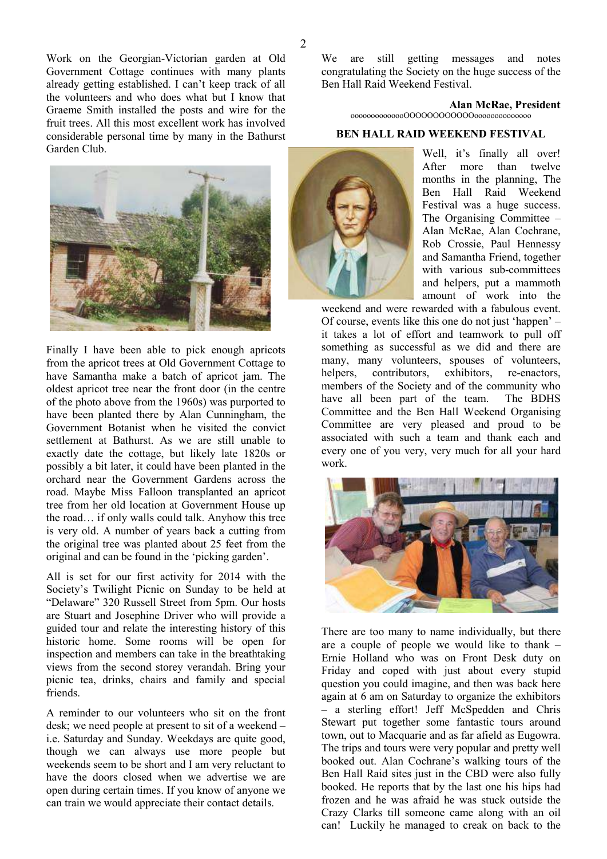Work on the Georgian-Victorian garden at Old Government Cottage continues with many plants already getting established. I can't keep track of all the volunteers and who does what but I know that Graeme Smith installed the posts and wire for the fruit trees. All this most excellent work has involved considerable personal time by many in the Bathurst Garden Club.



Finally I have been able to pick enough apricots from the apricot trees at Old Government Cottage to have Samantha make a batch of apricot jam. The oldest apricot tree near the front door (in the centre of the photo above from the 1960s) was purported to have been planted there by Alan Cunningham, the Government Botanist when he visited the convict settlement at Bathurst. As we are still unable to exactly date the cottage, but likely late 1820s or possibly a bit later, it could have been planted in the orchard near the Government Gardens across the road. Maybe Miss Falloon transplanted an apricot tree from her old location at Government House up the road… if only walls could talk. Anyhow this tree is very old. A number of years back a cutting from the original tree was planted about 25 feet from the original and can be found in the 'picking garden'.

All is set for our first activity for 2014 with the Society's Twilight Picnic on Sunday to be held at "Delaware" 320 Russell Street from 5pm. Our hosts are Stuart and Josephine Driver who will provide a guided tour and relate the interesting history of this historic home. Some rooms will be open for inspection and members can take in the breathtaking views from the second storey verandah. Bring your picnic tea, drinks, chairs and family and special friends.

A reminder to our volunteers who sit on the front desk; we need people at present to sit of a weekend – i.e. Saturday and Sunday. Weekdays are quite good, though we can always use more people but weekends seem to be short and I am very reluctant to have the doors closed when we advertise we are open during certain times. If you know of anyone we can train we would appreciate their contact details.

We are still getting messages and notes congratulating the Society on the huge success of the Ben Hall Raid Weekend Festival.

> **Alan McRae, President**  oooooooooooooOOOOOOOOOOOOoooooooooooooo

### **BEN HALL RAID WEEKEND FESTIVAL**



Well, it's finally all over! After more than twelve months in the planning, The Ben Hall Raid Weekend Festival was a huge success. The Organising Committee – Alan McRae, Alan Cochrane, Rob Crossie, Paul Hennessy and Samantha Friend, together with various sub-committees and helpers, put a mammoth amount of work into the

weekend and were rewarded with a fabulous event. Of course, events like this one do not just 'happen' – it takes a lot of effort and teamwork to pull off something as successful as we did and there are many, many volunteers, spouses of volunteers, helpers, contributors, exhibitors, re-enactors, members of the Society and of the community who have all been part of the team. The BDHS Committee and the Ben Hall Weekend Organising Committee are very pleased and proud to be associated with such a team and thank each and every one of you very, very much for all your hard work.



There are too many to name individually, but there are a couple of people we would like to thank – Ernie Holland who was on Front Desk duty on Friday and coped with just about every stupid question you could imagine, and then was back here again at 6 am on Saturday to organize the exhibitors – a sterling effort! Jeff McSpedden and Chris Stewart put together some fantastic tours around town, out to Macquarie and as far afield as Eugowra. The trips and tours were very popular and pretty well booked out. Alan Cochrane's walking tours of the Ben Hall Raid sites just in the CBD were also fully booked. He reports that by the last one his hips had frozen and he was afraid he was stuck outside the Crazy Clarks till someone came along with an oil can! Luckily he managed to creak on back to the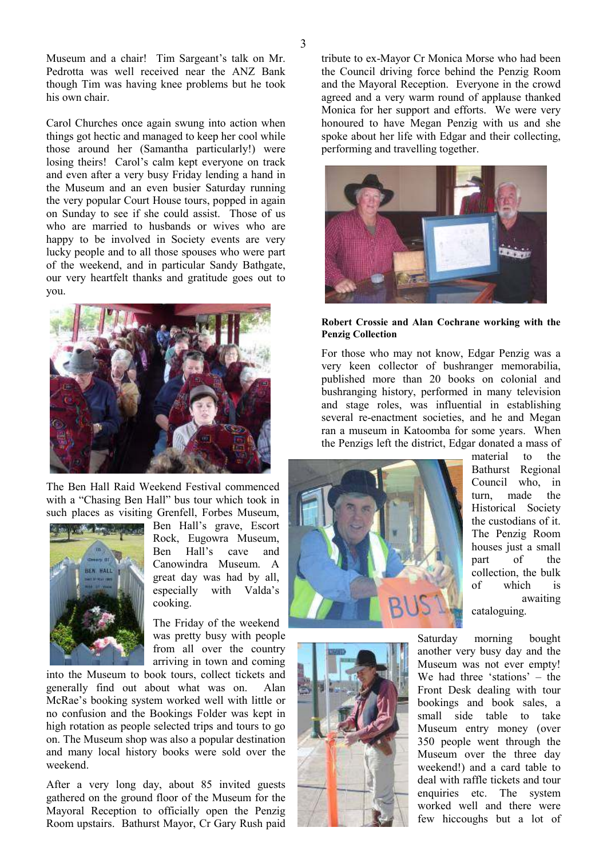Museum and a chair! Tim Sargeant's talk on Mr. Pedrotta was well received near the ANZ Bank though Tim was having knee problems but he took his own chair.

Carol Churches once again swung into action when things got hectic and managed to keep her cool while those around her (Samantha particularly!) were losing theirs! Carol's calm kept everyone on track and even after a very busy Friday lending a hand in the Museum and an even busier Saturday running the very popular Court House tours, popped in again on Sunday to see if she could assist. Those of us who are married to husbands or wives who are happy to be involved in Society events are very lucky people and to all those spouses who were part of the weekend, and in particular Sandy Bathgate, our very heartfelt thanks and gratitude goes out to you.



The Ben Hall Raid Weekend Festival commenced with a "Chasing Ben Hall" bus tour which took in such places as visiting Grenfell, Forbes Museum,



Ben Hall's grave, Escort Rock, Eugowra Museum, Ben Hall's cave and Canowindra Museum. A great day was had by all, especially with Valda's cooking.

The Friday of the weekend was pretty busy with people from all over the country arriving in town and coming

into the Museum to book tours, collect tickets and generally find out about what was on. Alan McRae's booking system worked well with little or no confusion and the Bookings Folder was kept in high rotation as people selected trips and tours to go on. The Museum shop was also a popular destination and many local history books were sold over the weekend.

After a very long day, about 85 invited guests gathered on the ground floor of the Museum for the Mayoral Reception to officially open the Penzig Room upstairs. Bathurst Mayor, Cr Gary Rush paid tribute to ex-Mayor Cr Monica Morse who had been the Council driving force behind the Penzig Room and the Mayoral Reception. Everyone in the crowd agreed and a very warm round of applause thanked Monica for her support and efforts. We were very honoured to have Megan Penzig with us and she spoke about her life with Edgar and their collecting, performing and travelling together.



#### **Robert Crossie and Alan Cochrane working with the Penzig Collection**

For those who may not know, Edgar Penzig was a very keen collector of bushranger memorabilia, published more than 20 books on colonial and bushranging history, performed in many television and stage roles, was influential in establishing several re-enactment societies, and he and Megan ran a museum in Katoomba for some years. When the Penzigs left the district, Edgar donated a mass of



![](_page_2_Picture_14.jpeg)

material to the Bathurst Regional Council who, in turn, made the Historical Society the custodians of it. The Penzig Room houses just a small part of the collection, the bulk of which is awaiting cataloguing.

Saturday morning bought another very busy day and the Museum was not ever empty! We had three 'stations' – the Front Desk dealing with tour bookings and book sales, a small side table to take Museum entry money (over 350 people went through the Museum over the three day weekend!) and a card table to deal with raffle tickets and tour enquiries etc. The system worked well and there were few hiccoughs but a lot of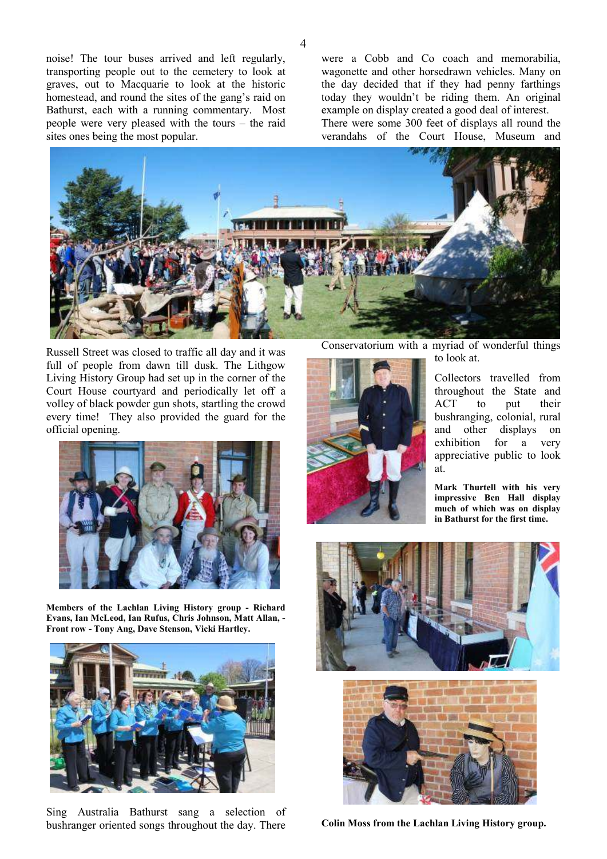noise! The tour buses arrived and left regularly, transporting people out to the cemetery to look at graves, out to Macquarie to look at the historic homestead, and round the sites of the gang's raid on Bathurst, each with a running commentary. Most people were very pleased with the tours – the raid sites ones being the most popular.

were a Cobb and Co coach and memorabilia, wagonette and other horsedrawn vehicles. Many on the day decided that if they had penny farthings today they wouldn't be riding them. An original example on display created a good deal of interest. There were some 300 feet of displays all round the

verandahs of the Court House, Museum and

![](_page_3_Picture_3.jpeg)

Russell Street was closed to traffic all day and it was full of people from dawn till dusk. The Lithgow Living History Group had set up in the corner of the Court House courtyard and periodically let off a volley of black powder gun shots, startling the crowd every time! They also provided the guard for the official opening.

![](_page_3_Picture_5.jpeg)

**Members of the Lachlan Living History group - Richard Evans, Ian McLeod, Ian Rufus, Chris Johnson, Matt Allan, - Front row - Tony Ang, Dave Stenson, Vicki Hartley.** 

![](_page_3_Picture_7.jpeg)

Sing Australia Bathurst sang a selection of bushranger oriented songs throughout the day. There

Conservatorium with a myriad of wonderful things to look at.

![](_page_3_Picture_10.jpeg)

Collectors travelled from throughout the State and ACT to put their bushranging, colonial, rural and other displays on exhibition for a very appreciative public to look at.

**Mark Thurtell with his very impressive Ben Hall display much of which was on display in Bathurst for the first time.** 

![](_page_3_Picture_13.jpeg)

![](_page_3_Picture_14.jpeg)

**Colin Moss from the Lachlan Living History group.**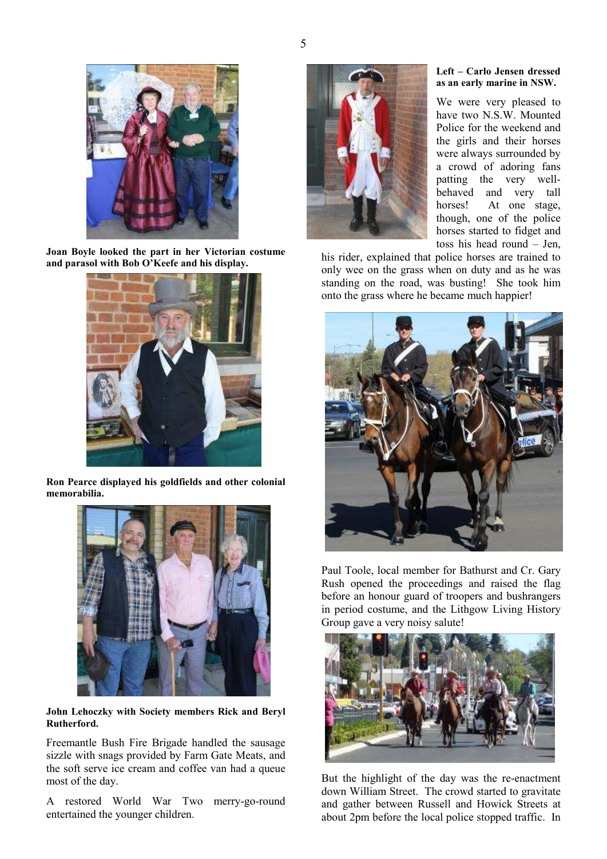![](_page_4_Picture_0.jpeg)

**Joan Boyle looked the part in her Victorian costume and parasol with Bob O'Keefe and his display.** 

![](_page_4_Picture_2.jpeg)

**Ron Pearce displayed his goldfields and other colonial memorabilia.** 

![](_page_4_Picture_4.jpeg)

**John Lehoczky with Society members Rick and Beryl Rutherford.** 

Freemantle Bush Fire Brigade handled the sausage sizzle with snags provided by Farm Gate Meats, and the soft serve ice cream and coffee van had a queue most of the day.

A restored World War Two merry-go-round entertained the younger children.

![](_page_4_Picture_8.jpeg)

#### **Left – Carlo Jensen dressed as an early marine in NSW.**

We were very pleased to have two N.S.W. Mounted Police for the weekend and the girls and their horses were always surrounded by a crowd of adoring fans patting the very wellbehaved and very tall horses! At one stage, though, one of the police horses started to fidget and toss his head round – Jen,

his rider, explained that police horses are trained to only wee on the grass when on duty and as he was standing on the road, was busting! She took him onto the grass where he became much happier!

![](_page_4_Picture_12.jpeg)

Paul Toole, local member for Bathurst and Cr. Gary Rush opened the proceedings and raised the flag before an honour guard of troopers and bushrangers in period costume, and the Lithgow Living History Group gave a very noisy salute!

![](_page_4_Picture_14.jpeg)

But the highlight of the day was the re-enactment down William Street. The crowd started to gravitate and gather between Russell and Howick Streets at about 2pm before the local police stopped traffic. In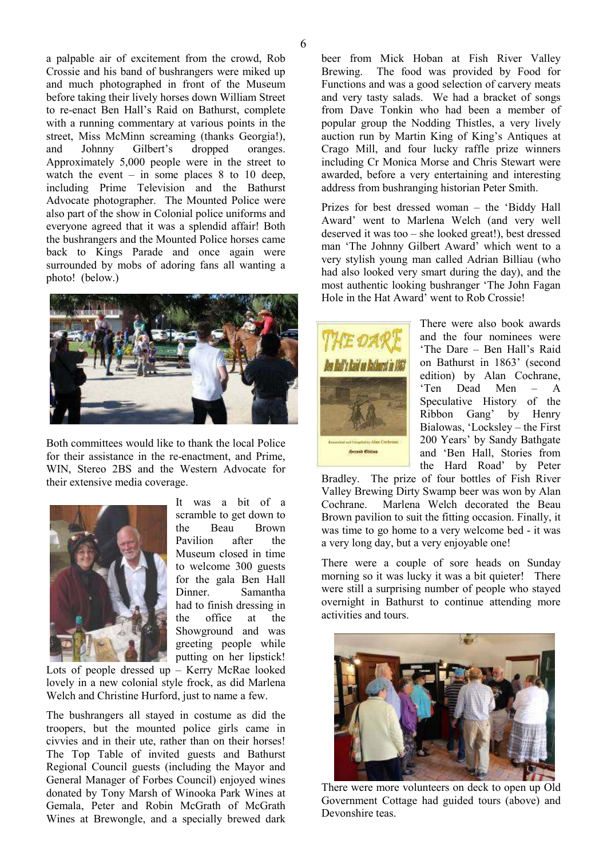a palpable air of excitement from the crowd, Rob Crossie and his band of bushrangers were miked up and much photographed in front of the Museum before taking their lively horses down William Street to re-enact Ben Hall's Raid on Bathurst, complete with a running commentary at various points in the street, Miss McMinn screaming (thanks Georgia!), and Johnny Gilbert's dropped oranges. Approximately 5,000 people were in the street to watch the event – in some places  $8$  to 10 deep, including Prime Television and the Bathurst Advocate photographer. The Mounted Police were also part of the show in Colonial police uniforms and everyone agreed that it was a splendid affair! Both the bushrangers and the Mounted Police horses came back to Kings Parade and once again were surrounded by mobs of adoring fans all wanting a photo! (below.)

![](_page_5_Picture_2.jpeg)

Both committees would like to thank the local Police for their assistance in the re-enactment, and Prime, WIN, Stereo 2BS and the Western Advocate for their extensive media coverage.

![](_page_5_Picture_4.jpeg)

It was a bit of a scramble to get down to the Beau Brown Pavilion after the Museum closed in time to welcome 300 guests for the gala Ben Hall Dinner. Samantha had to finish dressing in the office at the Showground and was greeting people while putting on her lipstick!

Lots of people dressed up – Kerry McRae looked lovely in a new colonial style frock, as did Marlena Welch and Christine Hurford, just to name a few.

The bushrangers all stayed in costume as did the troopers, but the mounted police girls came in civvies and in their ute, rather than on their horses! The Top Table of invited guests and Bathurst Regional Council guests (including the Mayor and General Manager of Forbes Council) enjoyed wines donated by Tony Marsh of Winooka Park Wines at Gemala, Peter and Robin McGrath of McGrath Wines at Brewongle, and a specially brewed dark beer from Mick Hoban at Fish River Valley Brewing. The food was provided by Food for Functions and was a good selection of carvery meats and very tasty salads. We had a bracket of songs from Dave Tonkin who had been a member of popular group the Nodding Thistles, a very lively auction run by Martin King of King's Antiques at Crago Mill, and four lucky raffle prize winners including Cr Monica Morse and Chris Stewart were awarded, before a very entertaining and interesting address from bushranging historian Peter Smith.

Prizes for best dressed woman – the 'Biddy Hall Award' went to Marlena Welch (and very well deserved it was too – she looked great!), best dressed man 'The Johnny Gilbert Award' which went to a very stylish young man called Adrian Billiau (who had also looked very smart during the day), and the most authentic looking bushranger 'The John Fagan Hole in the Hat Award' went to Rob Crossie!

![](_page_5_Picture_10.jpeg)

There were also book awards and the four nominees were 'The Dare – Ben Hall's Raid on Bathurst in 1863' (second edition) by Alan Cochrane, 'Ten Dead Men – A Speculative History of the Ribbon Gang' by Henry Bialowas, 'Locksley – the First 200 Years' by Sandy Bathgate and 'Ben Hall, Stories from the Hard Road' by Peter

Bradley. The prize of four bottles of Fish River Valley Brewing Dirty Swamp beer was won by Alan Cochrane. Marlena Welch decorated the Beau Brown pavilion to suit the fitting occasion. Finally, it was time to go home to a very welcome bed - it was a very long day, but a very enjoyable one!

There were a couple of sore heads on Sunday morning so it was lucky it was a bit quieter! There were still a surprising number of people who stayed overnight in Bathurst to continue attending more activities and tours.

![](_page_5_Picture_14.jpeg)

There were more volunteers on deck to open up Old Government Cottage had guided tours (above) and Devonshire teas.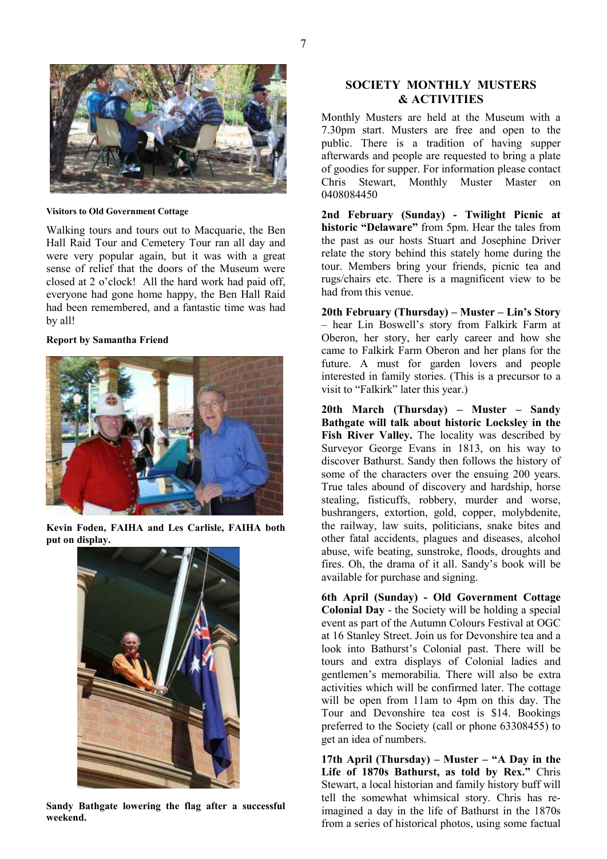![](_page_6_Picture_0.jpeg)

#### **Visitors to Old Government Cottage**

Walking tours and tours out to Macquarie, the Ben Hall Raid Tour and Cemetery Tour ran all day and were very popular again, but it was with a great sense of relief that the doors of the Museum were closed at 2 o'clock! All the hard work had paid off, everyone had gone home happy, the Ben Hall Raid had been remembered, and a fantastic time was had by all!

#### **Report by Samantha Friend**

![](_page_6_Picture_4.jpeg)

**Kevin Foden, FAIHA and Les Carlisle, FAIHA both put on display.** 

![](_page_6_Picture_6.jpeg)

**Sandy Bathgate lowering the flag after a successful weekend.** 

### **SOCIETY MONTHLY MUSTERS & ACTIVITIES**

Monthly Musters are held at the Museum with a 7.30pm start. Musters are free and open to the public. There is a tradition of having supper afterwards and people are requested to bring a plate of goodies for supper. For information please contact Chris Stewart, Monthly Muster Master on 0408084450

**2nd February (Sunday) - Twilight Picnic at historic "Delaware"** from 5pm. Hear the tales from the past as our hosts Stuart and Josephine Driver relate the story behind this stately home during the tour. Members bring your friends, picnic tea and rugs/chairs etc. There is a magnificent view to be had from this venue.

**20th February (Thursday) – Muster – Lin's Story** – hear Lin Boswell's story from Falkirk Farm at Oberon, her story, her early career and how she came to Falkirk Farm Oberon and her plans for the future. A must for garden lovers and people interested in family stories. (This is a precursor to a visit to "Falkirk" later this year.)

**20th March (Thursday) – Muster – Sandy Bathgate will talk about historic Locksley in the Fish River Valley.** The locality was described by Surveyor George Evans in 1813, on his way to discover Bathurst. Sandy then follows the history of some of the characters over the ensuing 200 years. True tales abound of discovery and hardship, horse stealing, fisticuffs, robbery, murder and worse, bushrangers, extortion, gold, copper, molybdenite, the railway, law suits, politicians, snake bites and other fatal accidents, plagues and diseases, alcohol abuse, wife beating, sunstroke, floods, droughts and fires. Oh, the drama of it all. Sandy's book will be available for purchase and signing.

**6th April (Sunday) - Old Government Cottage Colonial Day** - the Society will be holding a special event as part of the Autumn Colours Festival at OGC at 16 Stanley Street. Join us for Devonshire tea and a look into Bathurst's Colonial past. There will be tours and extra displays of Colonial ladies and gentlemen's memorabilia. There will also be extra activities which will be confirmed later. The cottage will be open from 11am to 4pm on this day. The Tour and Devonshire tea cost is \$14. Bookings preferred to the Society (call or phone 63308455) to get an idea of numbers.

**17th April (Thursday) – Muster – "A Day in the Life of 1870s Bathurst, as told by Rex."** Chris Stewart, a local historian and family history buff will tell the somewhat whimsical story. Chris has reimagined a day in the life of Bathurst in the 1870s from a series of historical photos, using some factual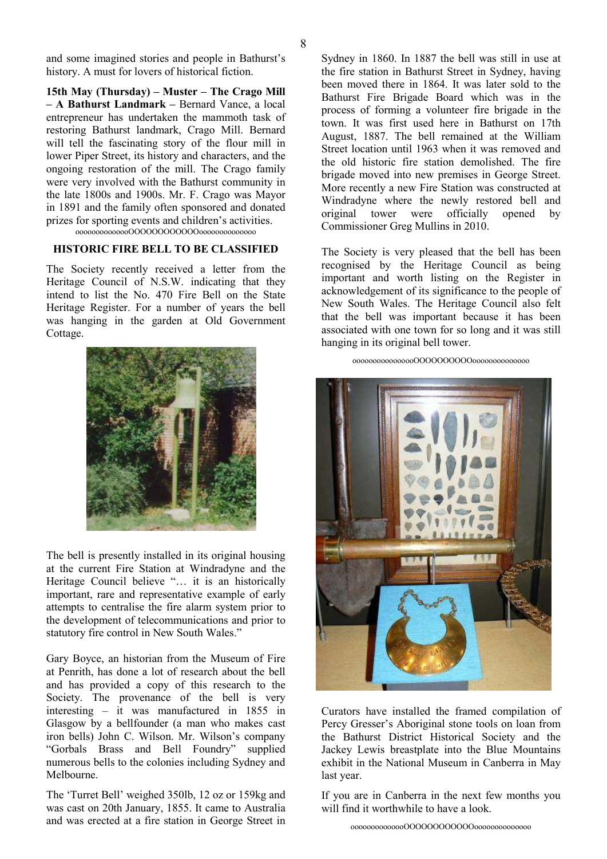and some imagined stories and people in Bathurst's history. A must for lovers of historical fiction.

**15th May (Thursday) – Muster – The Crago Mill – A Bathurst Landmark –** Bernard Vance, a local entrepreneur has undertaken the mammoth task of restoring Bathurst landmark, Crago Mill. Bernard will tell the fascinating story of the flour mill in lower Piper Street, its history and characters, and the ongoing restoration of the mill. The Crago family were very involved with the Bathurst community in the late 1800s and 1900s. Mr. F. Crago was Mayor in 1891 and the family often sponsored and donated prizes for sporting events and children's activities. oooooooooooooOOOOOOOOOOOOoooooooooooooo

# **HISTORIC FIRE BELL TO BE CLASSIFIED**

The Society recently received a letter from the Heritage Council of N.S.W. indicating that they intend to list the No. 470 Fire Bell on the State Heritage Register. For a number of years the bell was hanging in the garden at Old Government Cottage.

![](_page_7_Picture_4.jpeg)

The bell is presently installed in its original housing at the current Fire Station at Windradyne and the Heritage Council believe "… it is an historically important, rare and representative example of early attempts to centralise the fire alarm system prior to the development of telecommunications and prior to statutory fire control in New South Wales."

Gary Boyce, an historian from the Museum of Fire at Penrith, has done a lot of research about the bell and has provided a copy of this research to the Society. The provenance of the bell is very interesting – it was manufactured in 1855 in Glasgow by a bellfounder (a man who makes cast iron bells) John C. Wilson. Mr. Wilson's company "Gorbals Brass and Bell Foundry" supplied numerous bells to the colonies including Sydney and Melbourne.

The 'Turret Bell' weighed 350lb, 12 oz or 159kg and was cast on 20th January, 1855. It came to Australia and was erected at a fire station in George Street in Sydney in 1860. In 1887 the bell was still in use at the fire station in Bathurst Street in Sydney, having been moved there in 1864. It was later sold to the Bathurst Fire Brigade Board which was in the process of forming a volunteer fire brigade in the town. It was first used here in Bathurst on 17th August, 1887. The bell remained at the William Street location until 1963 when it was removed and the old historic fire station demolished. The fire brigade moved into new premises in George Street. More recently a new Fire Station was constructed at Windradyne where the newly restored bell and original tower were officially opened by Commissioner Greg Mullins in 2010.

The Society is very pleased that the bell has been recognised by the Heritage Council as being important and worth listing on the Register in acknowledgement of its significance to the people of New South Wales. The Heritage Council also felt that the bell was important because it has been associated with one town for so long and it was still hanging in its original bell tower.

#### oooooooooooooooOOOOOOOOOOoooooooooooooo

![](_page_7_Picture_11.jpeg)

Curators have installed the framed compilation of Percy Gresser's Aboriginal stone tools on loan from the Bathurst District Historical Society and the Jackey Lewis breastplate into the Blue Mountains exhibit in the National Museum in Canberra in May last year.

If you are in Canberra in the next few months you will find it worthwhile to have a look.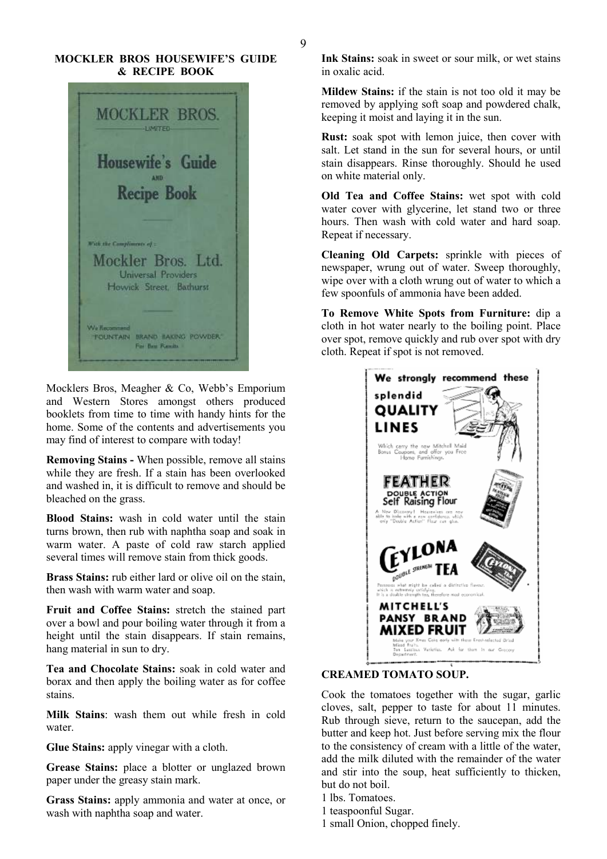### **MOCKLER BROS HOUSEWIFE'S GUIDE & RECIPE BOOK**

![](_page_8_Picture_2.jpeg)

Mocklers Bros, Meagher & Co, Webb's Emporium and Western Stores amongst others produced booklets from time to time with handy hints for the home. Some of the contents and advertisements you may find of interest to compare with today!

**Removing Stains -** When possible, remove all stains while they are fresh. If a stain has been overlooked and washed in, it is difficult to remove and should be bleached on the grass.

**Blood Stains:** wash in cold water until the stain turns brown, then rub with naphtha soap and soak in warm water. A paste of cold raw starch applied several times will remove stain from thick goods.

**Brass Stains:** rub either lard or olive oil on the stain, then wash with warm water and soap.

**Fruit and Coffee Stains:** stretch the stained part over a bowl and pour boiling water through it from a height until the stain disappears. If stain remains, hang material in sun to dry.

**Tea and Chocolate Stains:** soak in cold water and borax and then apply the boiling water as for coffee stains.

**Milk Stains**: wash them out while fresh in cold water.

**Glue Stains:** apply vinegar with a cloth.

**Grease Stains:** place a blotter or unglazed brown paper under the greasy stain mark.

**Grass Stains:** apply ammonia and water at once, or wash with naphtha soap and water.

**Ink Stains:** soak in sweet or sour milk, or wet stains in oxalic acid.

**Mildew Stains:** if the stain is not too old it may be removed by applying soft soap and powdered chalk, keeping it moist and laying it in the sun.

**Rust:** soak spot with lemon juice, then cover with salt. Let stand in the sun for several hours, or until stain disappears. Rinse thoroughly. Should he used on white material only.

**Old Tea and Coffee Stains:** wet spot with cold water cover with glycerine, let stand two or three hours. Then wash with cold water and hard soap. Repeat if necessary.

**Cleaning Old Carpets:** sprinkle with pieces of newspaper, wrung out of water. Sweep thoroughly, wipe over with a cloth wrung out of water to which a few spoonfuls of ammonia have been added.

**To Remove White Spots from Furniture:** dip a cloth in hot water nearly to the boiling point. Place over spot, remove quickly and rub over spot with dry cloth. Repeat if spot is not removed.

![](_page_8_Picture_19.jpeg)

### **CREAMED TOMATO SOUP.**

Cook the tomatoes together with the sugar, garlic cloves, salt, pepper to taste for about 11 minutes. Rub through sieve, return to the saucepan, add the butter and keep hot. Just before serving mix the flour to the consistency of cream with a little of the water, add the milk diluted with the remainder of the water and stir into the soup, heat sufficiently to thicken, but do not boil.

1 lbs. Tomatoes.

- 1 teaspoonful Sugar.
- 1 small Onion, chopped finely.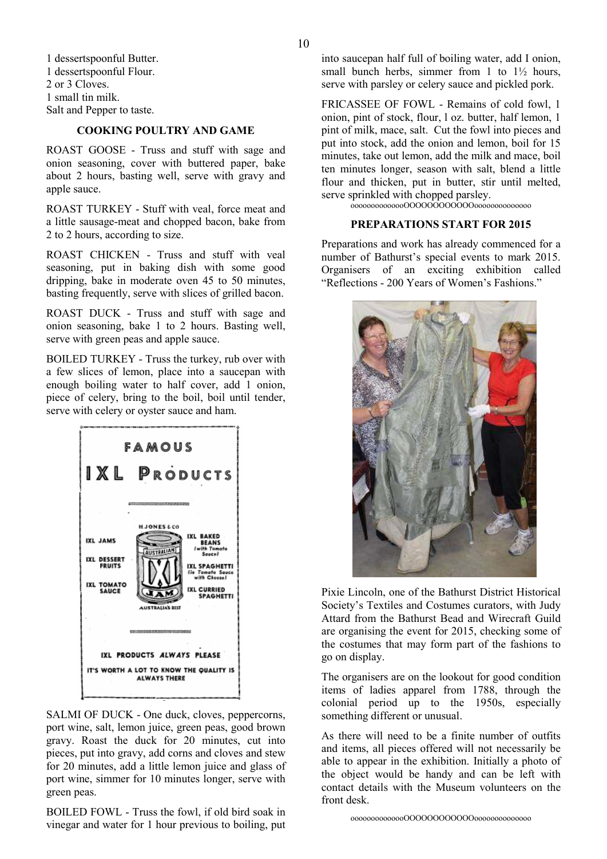1 dessertspoonful Butter. 1 dessertspoonful Flour. 2 or 3 Cloves. 1 small tin milk. Salt and Pepper to taste.

#### **COOKING POULTRY AND GAME**

ROAST GOOSE - Truss and stuff with sage and onion seasoning, cover with buttered paper, bake about 2 hours, basting well, serve with gravy and apple sauce.

ROAST TURKEY - Stuff with veal, force meat and a little sausage-meat and chopped bacon, bake from 2 to 2 hours, according to size.

ROAST CHICKEN - Truss and stuff with veal seasoning, put in baking dish with some good dripping, bake in moderate oven 45 to 50 minutes, basting frequently, serve with slices of grilled bacon.

ROAST DUCK - Truss and stuff with sage and onion seasoning, bake 1 to 2 hours. Basting well, serve with green peas and apple sauce.

BOILED TURKEY - Truss the turkey, rub over with a few slices of lemon, place into a saucepan with enough boiling water to half cover, add 1 onion, piece of celery, bring to the boil, boil until tender, serve with celery or oyster sauce and ham.

![](_page_9_Picture_7.jpeg)

SALMI OF DUCK - One duck, cloves, peppercorns, port wine, salt, lemon juice, green peas, good brown gravy. Roast the duck for 20 minutes, cut into pieces, put into gravy, add corns and cloves and stew for 20 minutes, add a little lemon juice and glass of port wine, simmer for 10 minutes longer, serve with green peas.

BOILED FOWL - Truss the fowl, if old bird soak in vinegar and water for 1 hour previous to boiling, put

into saucepan half full of boiling water, add I onion, small bunch herbs, simmer from 1 to  $1\frac{1}{2}$  hours, serve with parsley or celery sauce and pickled pork.

FRICASSEE OF FOWL - Remains of cold fowl, 1 onion, pint of stock, flour, l oz. butter, half lemon, 1 pint of milk, mace, salt. Cut the fowl into pieces and put into stock, add the onion and lemon, boil for 15 minutes, take out lemon, add the milk and mace, boil ten minutes longer, season with salt, blend a little flour and thicken, put in butter, stir until melted, serve sprinkled with chopped parsley.

oooooooooooooOOOOOOOOOOOOoooooooooooooo

### **PREPARATIONS START FOR 2015**

Preparations and work has already commenced for a number of Bathurst's special events to mark 2015. Organisers of an exciting exhibition called "Reflections - 200 Years of Women's Fashions."

![](_page_9_Picture_15.jpeg)

Pixie Lincoln, one of the Bathurst District Historical Society's Textiles and Costumes curators, with Judy Attard from the Bathurst Bead and Wirecraft Guild are organising the event for 2015, checking some of the costumes that may form part of the fashions to go on display.

The organisers are on the lookout for good condition items of ladies apparel from 1788, through the colonial period up to the 1950s, especially something different or unusual.

As there will need to be a finite number of outfits and items, all pieces offered will not necessarily be able to appear in the exhibition. Initially a photo of the object would be handy and can be left with contact details with the Museum volunteers on the front desk.

oooooooooooooOOOOOOOOOOOOoooooooooooooo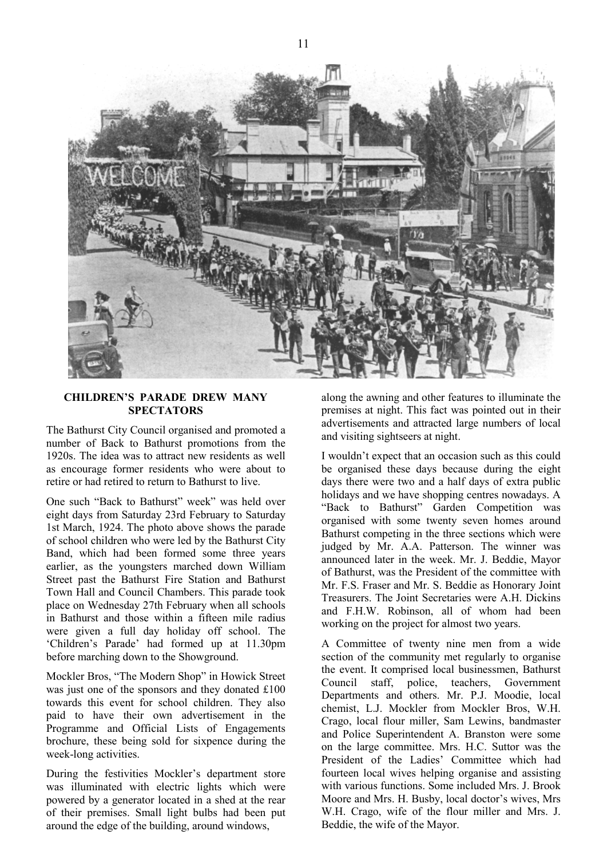![](_page_10_Picture_0.jpeg)

### **CHILDREN'S PARADE DREW MANY SPECTATORS**

The Bathurst City Council organised and promoted a number of Back to Bathurst promotions from the 1920s. The idea was to attract new residents as well as encourage former residents who were about to retire or had retired to return to Bathurst to live.

One such "Back to Bathurst" week" was held over eight days from Saturday 23rd February to Saturday 1st March, 1924. The photo above shows the parade of school children who were led by the Bathurst City Band, which had been formed some three years earlier, as the youngsters marched down William Street past the Bathurst Fire Station and Bathurst Town Hall and Council Chambers. This parade took place on Wednesday 27th February when all schools in Bathurst and those within a fifteen mile radius were given a full day holiday off school. The 'Children's Parade' had formed up at 11.30pm before marching down to the Showground.

Mockler Bros, "The Modern Shop" in Howick Street was just one of the sponsors and they donated £100 towards this event for school children. They also paid to have their own advertisement in the Programme and Official Lists of Engagements brochure, these being sold for sixpence during the week-long activities.

During the festivities Mockler's department store was illuminated with electric lights which were powered by a generator located in a shed at the rear of their premises. Small light bulbs had been put around the edge of the building, around windows,

along the awning and other features to illuminate the premises at night. This fact was pointed out in their advertisements and attracted large numbers of local and visiting sightseers at night.

I wouldn't expect that an occasion such as this could be organised these days because during the eight days there were two and a half days of extra public holidays and we have shopping centres nowadays. A "Back to Bathurst" Garden Competition was organised with some twenty seven homes around Bathurst competing in the three sections which were judged by Mr. A.A. Patterson. The winner was announced later in the week. Mr. J. Beddie, Mayor of Bathurst, was the President of the committee with Mr. F.S. Fraser and Mr. S. Beddie as Honorary Joint Treasurers. The Joint Secretaries were A.H. Dickins and F.H.W. Robinson, all of whom had been working on the project for almost two years.

A Committee of twenty nine men from a wide section of the community met regularly to organise the event. It comprised local businessmen, Bathurst Council staff, police, teachers, Government Departments and others. Mr. P.J. Moodie, local chemist, L.J. Mockler from Mockler Bros, W.H. Crago, local flour miller, Sam Lewins, bandmaster and Police Superintendent A. Branston were some on the large committee. Mrs. H.C. Suttor was the President of the Ladies' Committee which had fourteen local wives helping organise and assisting with various functions. Some included Mrs. J. Brook Moore and Mrs. H. Busby, local doctor's wives, Mrs W.H. Crago, wife of the flour miller and Mrs. J. Beddie, the wife of the Mayor.